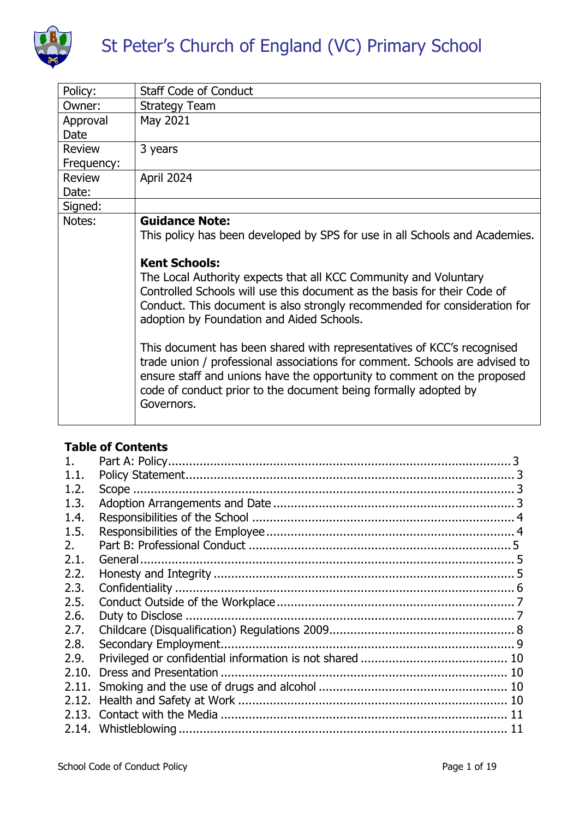

| Policy:       | <b>Staff Code of Conduct</b>                                                                                                                                                                                                                                                                                      |  |
|---------------|-------------------------------------------------------------------------------------------------------------------------------------------------------------------------------------------------------------------------------------------------------------------------------------------------------------------|--|
| Owner:        | <b>Strategy Team</b>                                                                                                                                                                                                                                                                                              |  |
| Approval      | May 2021                                                                                                                                                                                                                                                                                                          |  |
| Date          |                                                                                                                                                                                                                                                                                                                   |  |
| <b>Review</b> | 3 years                                                                                                                                                                                                                                                                                                           |  |
| Frequency:    |                                                                                                                                                                                                                                                                                                                   |  |
| <b>Review</b> | April 2024                                                                                                                                                                                                                                                                                                        |  |
| Date:         |                                                                                                                                                                                                                                                                                                                   |  |
| Signed:       |                                                                                                                                                                                                                                                                                                                   |  |
| Notes:        | <b>Guidance Note:</b>                                                                                                                                                                                                                                                                                             |  |
|               | This policy has been developed by SPS for use in all Schools and Academies.                                                                                                                                                                                                                                       |  |
|               | <b>Kent Schools:</b>                                                                                                                                                                                                                                                                                              |  |
|               | The Local Authority expects that all KCC Community and Voluntary<br>Controlled Schools will use this document as the basis for their Code of<br>Conduct. This document is also strongly recommended for consideration for<br>adoption by Foundation and Aided Schools.                                            |  |
|               | This document has been shared with representatives of KCC's recognised<br>trade union / professional associations for comment. Schools are advised to<br>ensure staff and unions have the opportunity to comment on the proposed<br>code of conduct prior to the document being formally adopted by<br>Governors. |  |

#### **Table of Contents**

| 1 <sub>1</sub> |  |
|----------------|--|
| 1.1.           |  |
| 1.2.           |  |
| 1.3.           |  |
| 1.4.           |  |
| 1.5.           |  |
| 2.             |  |
| 2.1.           |  |
| 2.2.           |  |
| 2.3.           |  |
| 2.5.           |  |
| 2.6.           |  |
| 2.7.           |  |
| 2.8.           |  |
| 2.9.           |  |
| 2.10.          |  |
|                |  |
| 2.12.          |  |
|                |  |
|                |  |
|                |  |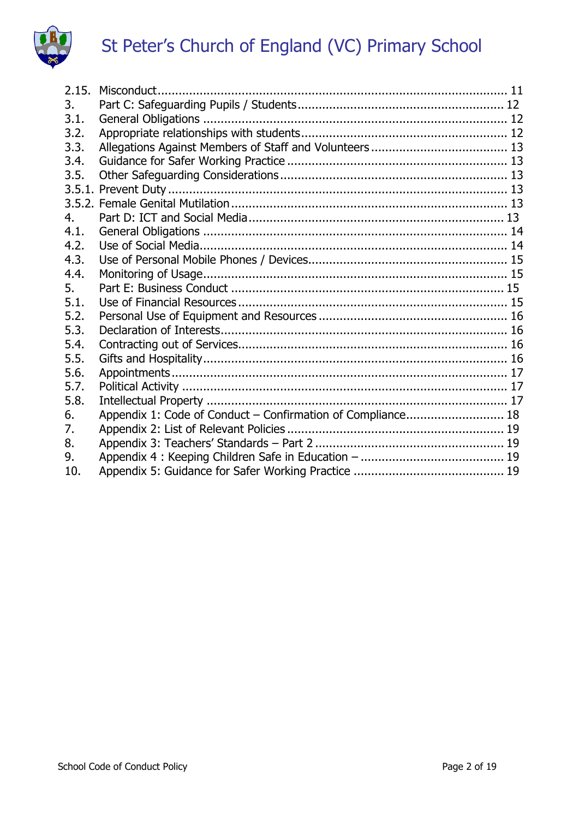

| 2.15. |                                                             |  |
|-------|-------------------------------------------------------------|--|
| 3.    |                                                             |  |
| 3.1.  |                                                             |  |
| 3.2.  |                                                             |  |
| 3.3.  |                                                             |  |
| 3.4.  |                                                             |  |
| 3.5.  |                                                             |  |
|       |                                                             |  |
|       |                                                             |  |
| 4.    |                                                             |  |
| 4.1.  |                                                             |  |
| 4.2.  |                                                             |  |
| 4.3.  |                                                             |  |
| 4.4.  |                                                             |  |
| 5.    |                                                             |  |
| 5.1.  |                                                             |  |
| 5.2.  |                                                             |  |
| 5.3.  |                                                             |  |
| 5.4.  |                                                             |  |
| 5.5.  |                                                             |  |
| 5.6.  |                                                             |  |
| 5.7.  |                                                             |  |
| 5.8.  |                                                             |  |
| 6.    | Appendix 1: Code of Conduct - Confirmation of Compliance 18 |  |
| 7.    |                                                             |  |
| 8.    |                                                             |  |
| 9.    |                                                             |  |
| 10.   |                                                             |  |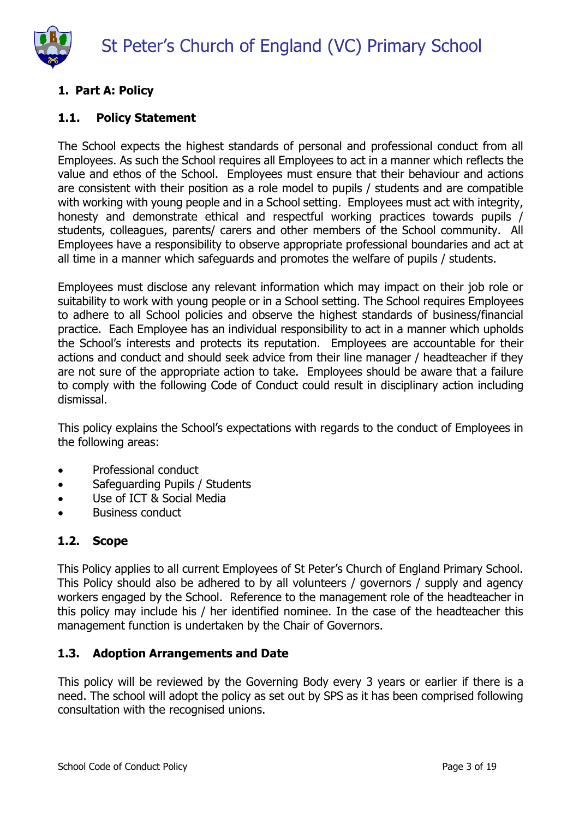

# <span id="page-2-0"></span>**1. Part A: Policy**

#### <span id="page-2-1"></span>**1.1. Policy Statement**

The School expects the highest standards of personal and professional conduct from all Employees. As such the School requires all Employees to act in a manner which reflects the value and ethos of the School. Employees must ensure that their behaviour and actions are consistent with their position as a role model to pupils / students and are compatible with working with young people and in a School setting. Employees must act with integrity, honesty and demonstrate ethical and respectful working practices towards pupils / students, colleagues, parents/ carers and other members of the School community. All Employees have a responsibility to observe appropriate professional boundaries and act at all time in a manner which safeguards and promotes the welfare of pupils / students.

Employees must disclose any relevant information which may impact on their job role or suitability to work with young people or in a School setting. The School requires Employees to adhere to all School policies and observe the highest standards of business/financial practice. Each Employee has an individual responsibility to act in a manner which upholds the School's interests and protects its reputation. Employees are accountable for their actions and conduct and should seek advice from their line manager / headteacher if they are not sure of the appropriate action to take. Employees should be aware that a failure to comply with the following Code of Conduct could result in disciplinary action including dismissal.

This policy explains the School's expectations with regards to the conduct of Employees in the following areas:

- Professional conduct
- Safeguarding Pupils / Students
- Use of ICT & Social Media
- Business conduct

#### <span id="page-2-2"></span>**1.2. Scope**

This Policy applies to all current Employees of St Peter's Church of England Primary School. This Policy should also be adhered to by all volunteers / governors / supply and agency workers engaged by the School. Reference to the management role of the headteacher in this policy may include his / her identified nominee. In the case of the headteacher this management function is undertaken by the Chair of Governors.

#### <span id="page-2-3"></span>**1.3. Adoption Arrangements and Date**

This policy will be reviewed by the Governing Body every 3 years or earlier if there is a need. The school will adopt the policy as set out by SPS as it has been comprised following consultation with the recognised unions.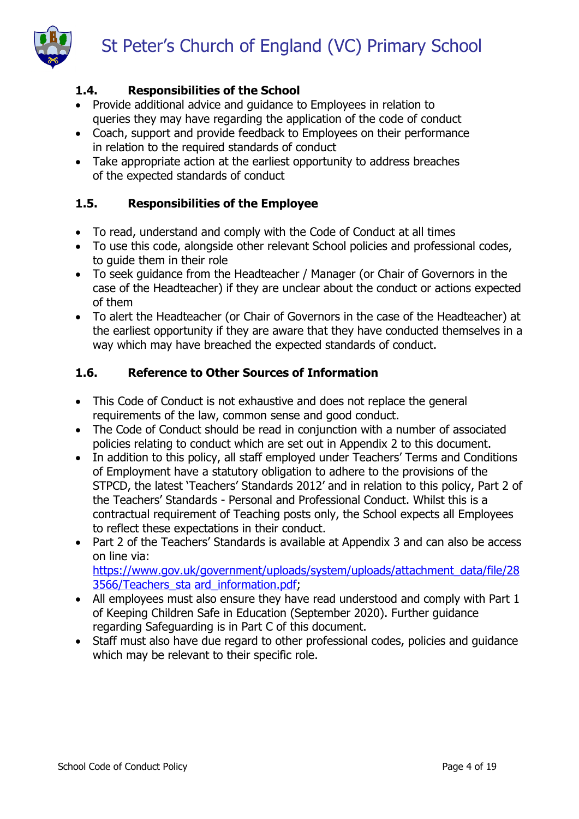

# <span id="page-3-0"></span>**1.4. Responsibilities of the School**

- Provide additional advice and guidance to Employees in relation to queries they may have regarding the application of the code of conduct
- Coach, support and provide feedback to Employees on their performance in relation to the required standards of conduct
- Take appropriate action at the earliest opportunity to address breaches of the expected standards of conduct

# <span id="page-3-1"></span>**1.5. Responsibilities of the Employee**

- To read, understand and comply with the Code of Conduct at all times
- To use this code, alongside other relevant School policies and professional codes, to guide them in their role
- To seek guidance from the Headteacher / Manager (or Chair of Governors in the case of the Headteacher) if they are unclear about the conduct or actions expected of them
- To alert the Headteacher (or Chair of Governors in the case of the Headteacher) at the earliest opportunity if they are aware that they have conducted themselves in a way which may have breached the expected standards of conduct.

# **1.6. Reference to Other Sources of Information**

- This Code of Conduct is not exhaustive and does not replace the general requirements of the law, common sense and good conduct.
- The Code of Conduct should be read in conjunction with a number of associated policies relating to conduct which are set out in Appendix 2 to this document.
- In addition to this policy, all staff employed under Teachers' Terms and Conditions of Employment have a statutory obligation to adhere to the provisions of the STPCD, the latest 'Teachers' Standards 2012' and in relation to this policy, Part 2 of the Teachers' Standards - Personal and Professional Conduct. Whilst this is a contractual requirement of Teaching posts only, the School expects all Employees to reflect these expectations in their conduct.
- Part 2 of the Teachers' Standards is available at Appendix 3 and can also be access on line via: [https://www.gov.uk/government/uploads/system/uploads/attachment\\_data/file/28](https://www.gov.uk/government/uploads/system/uploads/attachment_data/file/283566/Teachers_standard_information.pdf)

[3566/Teachers\\_sta](https://www.gov.uk/government/uploads/system/uploads/attachment_data/file/283566/Teachers_standard_information.pdf) [ard\\_information.pdf;](https://www.gov.uk/government/uploads/system/uploads/attachment_data/file/283566/Teachers_standard_information.pdf)

- All employees must also ensure they have read understood and comply with Part 1 of Keeping Children Safe in Education (September 2020). Further guidance regarding Safeguarding is in Part C of this document.
- Staff must also have due regard to other professional codes, policies and guidance which may be relevant to their specific role.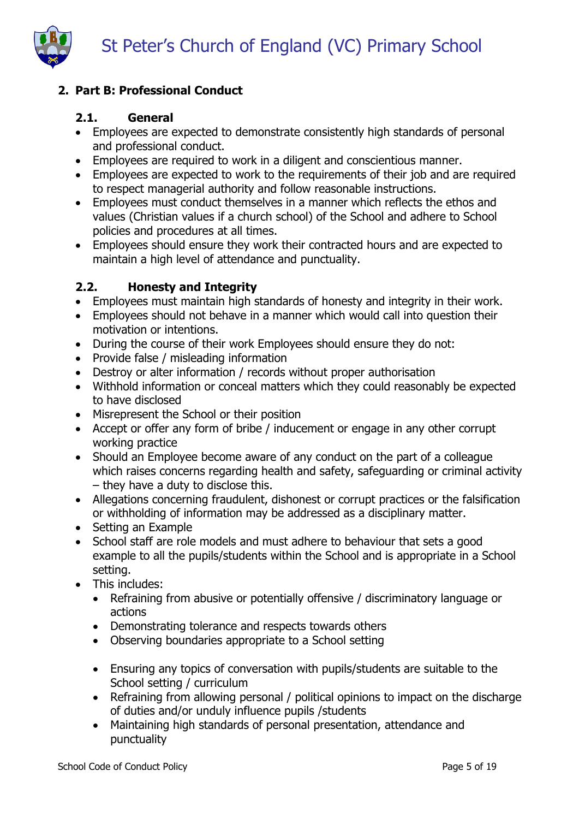

# <span id="page-4-0"></span>**2. Part B: Professional Conduct**

#### <span id="page-4-1"></span>**2.1. General**

- Employees are expected to demonstrate consistently high standards of personal and professional conduct.
- Employees are required to work in a diligent and conscientious manner.
- Employees are expected to work to the requirements of their job and are required to respect managerial authority and follow reasonable instructions.
- Employees must conduct themselves in a manner which reflects the ethos and values (Christian values if a church school) of the School and adhere to School policies and procedures at all times.
- Employees should ensure they work their contracted hours and are expected to maintain a high level of attendance and punctuality.

## <span id="page-4-2"></span>**2.2. Honesty and Integrity**

- Employees must maintain high standards of honesty and integrity in their work.
- Employees should not behave in a manner which would call into question their motivation or intentions.
- During the course of their work Employees should ensure they do not:
- Provide false / misleading information
- Destroy or alter information / records without proper authorisation
- Withhold information or conceal matters which they could reasonably be expected to have disclosed
- Misrepresent the School or their position
- Accept or offer any form of bribe / inducement or engage in any other corrupt working practice
- Should an Employee become aware of any conduct on the part of a colleague which raises concerns regarding health and safety, safeguarding or criminal activity – they have a duty to disclose this.
- Allegations concerning fraudulent, dishonest or corrupt practices or the falsification or withholding of information may be addressed as a disciplinary matter.
- Setting an Example
- School staff are role models and must adhere to behaviour that sets a good example to all the pupils/students within the School and is appropriate in a School setting.
- This includes:
	- Refraining from abusive or potentially offensive / discriminatory language or actions
	- Demonstrating tolerance and respects towards others
	- Observing boundaries appropriate to a School setting
	- Ensuring any topics of conversation with pupils/students are suitable to the School setting / curriculum
	- Refraining from allowing personal / political opinions to impact on the discharge of duties and/or unduly influence pupils /students
	- Maintaining high standards of personal presentation, attendance and punctuality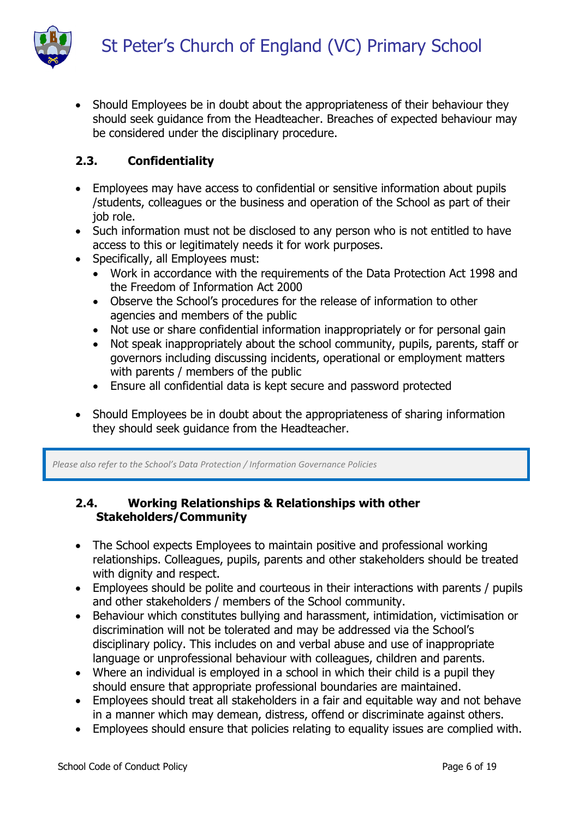

• Should Employees be in doubt about the appropriateness of their behaviour they should seek guidance from the Headteacher. Breaches of expected behaviour may be considered under the disciplinary procedure.

#### <span id="page-5-0"></span>**2.3. Confidentiality**

- Employees may have access to confidential or sensitive information about pupils /students, colleagues or the business and operation of the School as part of their job role.
- Such information must not be disclosed to any person who is not entitled to have access to this or legitimately needs it for work purposes.
- Specifically, all Employees must:
	- Work in accordance with the requirements of the Data Protection Act 1998 and the Freedom of Information Act 2000
	- Observe the School's procedures for the release of information to other agencies and members of the public
	- Not use or share confidential information inappropriately or for personal gain
	- Not speak inappropriately about the school community, pupils, parents, staff or governors including discussing incidents, operational or employment matters with parents / members of the public
	- Ensure all confidential data is kept secure and password protected
- Should Employees be in doubt about the appropriateness of sharing information they should seek guidance from the Headteacher.

*Please also refer to the School's Data Protection / Information Governance Policies*

#### **2.4. Working Relationships & Relationships with other Stakeholders/Community**

- The School expects Employees to maintain positive and professional working relationships. Colleagues, pupils, parents and other stakeholders should be treated with dignity and respect.
- Employees should be polite and courteous in their interactions with parents / pupils and other stakeholders / members of the School community.
- Behaviour which constitutes bullying and harassment, intimidation, victimisation or discrimination will not be tolerated and may be addressed via the School's disciplinary policy. This includes on and verbal abuse and use of inappropriate language or unprofessional behaviour with colleagues, children and parents.
- Where an individual is employed in a school in which their child is a pupil they should ensure that appropriate professional boundaries are maintained.
- Employees should treat all stakeholders in a fair and equitable way and not behave in a manner which may demean, distress, offend or discriminate against others.
- Employees should ensure that policies relating to equality issues are complied with.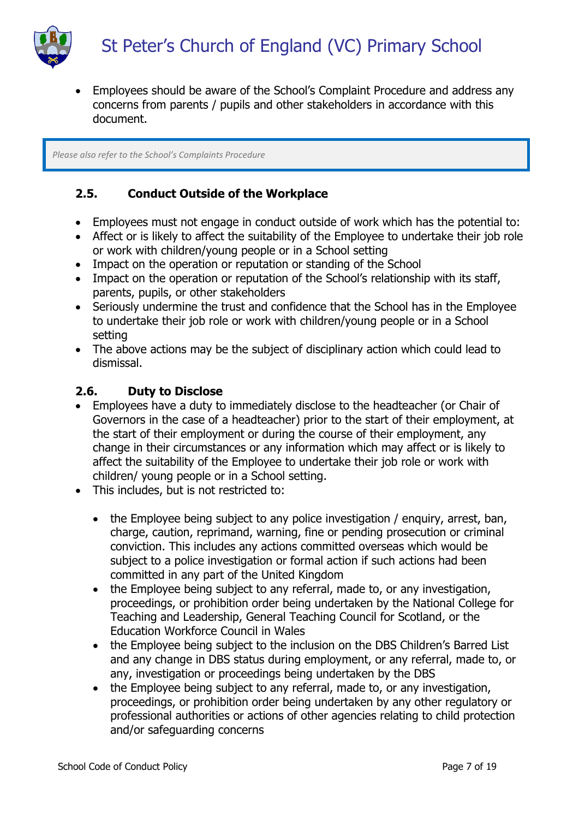



 Employees should be aware of the School's Complaint Procedure and address any concerns from parents / pupils and other stakeholders in accordance with this document.

*Please also refer to the School's Complaints Procedure*

## <span id="page-6-0"></span>**2.5. Conduct Outside of the Workplace**

- Employees must not engage in conduct outside of work which has the potential to:
- Affect or is likely to affect the suitability of the Employee to undertake their job role or work with children/young people or in a School setting
- Impact on the operation or reputation or standing of the School
- Impact on the operation or reputation of the School's relationship with its staff, parents, pupils, or other stakeholders
- Seriously undermine the trust and confidence that the School has in the Employee to undertake their job role or work with children/young people or in a School setting
- The above actions may be the subject of disciplinary action which could lead to dismissal.

#### <span id="page-6-1"></span>**2.6. Duty to Disclose**

- Employees have a duty to immediately disclose to the headteacher (or Chair of Governors in the case of a headteacher) prior to the start of their employment, at the start of their employment or during the course of their employment, any change in their circumstances or any information which may affect or is likely to affect the suitability of the Employee to undertake their job role or work with children/ young people or in a School setting.
- This includes, but is not restricted to:
	- the Employee being subject to any police investigation / enguiry, arrest, ban, charge, caution, reprimand, warning, fine or pending prosecution or criminal conviction. This includes any actions committed overseas which would be subject to a police investigation or formal action if such actions had been committed in any part of the United Kingdom
	- the Employee being subject to any referral, made to, or any investigation, proceedings, or prohibition order being undertaken by the National College for Teaching and Leadership, General Teaching Council for Scotland, or the Education Workforce Council in Wales
	- the Employee being subject to the inclusion on the DBS Children's Barred List and any change in DBS status during employment, or any referral, made to, or any, investigation or proceedings being undertaken by the DBS
	- the Employee being subject to any referral, made to, or any investigation, proceedings, or prohibition order being undertaken by any other regulatory or professional authorities or actions of other agencies relating to child protection and/or safeguarding concerns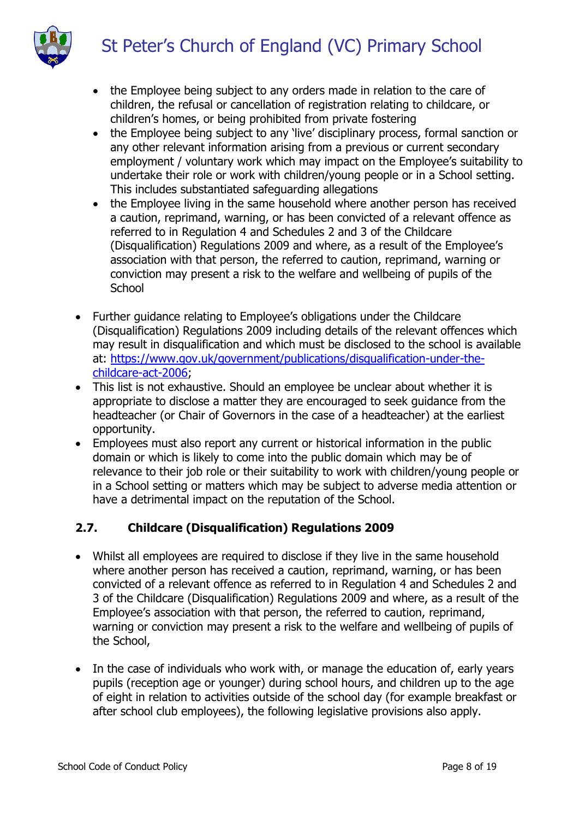

- the Employee being subject to any orders made in relation to the care of children, the refusal or cancellation of registration relating to childcare, or children's homes, or being prohibited from private fostering
- the Employee being subject to any 'live' disciplinary process, formal sanction or any other relevant information arising from a previous or current secondary employment / voluntary work which may impact on the Employee's suitability to undertake their role or work with children/young people or in a School setting. This includes substantiated safeguarding allegations
- the Employee living in the same household where another person has received a caution, reprimand, warning, or has been convicted of a relevant offence as referred to in Regulation 4 and Schedules 2 and 3 of the Childcare (Disqualification) Regulations 2009 and where, as a result of the Employee's association with that person, the referred to caution, reprimand, warning or conviction may present a risk to the welfare and wellbeing of pupils of the **School**
- Further guidance relating to Employee's obligations under the Childcare (Disqualification) Regulations 2009 including details of the relevant offences which may result in disqualification and which must be disclosed to the school is available at: [https://www.gov.uk/government/publications/disqualification-under-the](https://www.gov.uk/government/publications/disqualification-under-the-childcare-act-2006)[childcare-act-2006;](https://www.gov.uk/government/publications/disqualification-under-the-childcare-act-2006)
- This list is not exhaustive. Should an employee be unclear about whether it is appropriate to disclose a matter they are encouraged to seek guidance from the headteacher (or Chair of Governors in the case of a headteacher) at the earliest opportunity.
- Employees must also report any current or historical information in the public domain or which is likely to come into the public domain which may be of relevance to their job role or their suitability to work with children/young people or in a School setting or matters which may be subject to adverse media attention or have a detrimental impact on the reputation of the School.

# <span id="page-7-0"></span>**2.7. Childcare (Disqualification) Regulations 2009**

- Whilst all employees are required to disclose if they live in the same household where another person has received a caution, reprimand, warning, or has been convicted of a relevant offence as referred to in Regulation 4 and Schedules 2 and 3 of the Childcare (Disqualification) Regulations 2009 and where, as a result of the Employee's association with that person, the referred to caution, reprimand, warning or conviction may present a risk to the welfare and wellbeing of pupils of the School,
- In the case of individuals who work with, or manage the education of, early years pupils (reception age or younger) during school hours, and children up to the age of eight in relation to activities outside of the school day (for example breakfast or after school club employees), the following legislative provisions also apply.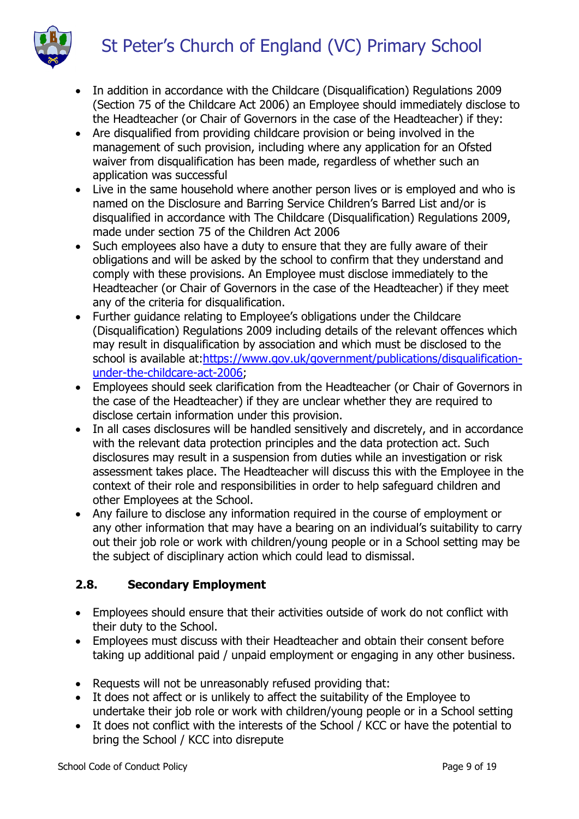

- In addition in accordance with the Childcare (Disqualification) Regulations 2009 (Section 75 of the Childcare Act 2006) an Employee should immediately disclose to the Headteacher (or Chair of Governors in the case of the Headteacher) if they:
- Are disqualified from providing childcare provision or being involved in the management of such provision, including where any application for an Ofsted waiver from disqualification has been made, regardless of whether such an application was successful
- Live in the same household where another person lives or is employed and who is named on the Disclosure and Barring Service Children's Barred List and/or is disqualified in accordance with The Childcare (Disqualification) Regulations 2009, made under section 75 of the Children Act 2006
- Such employees also have a duty to ensure that they are fully aware of their obligations and will be asked by the school to confirm that they understand and comply with these provisions. An Employee must disclose immediately to the Headteacher (or Chair of Governors in the case of the Headteacher) if they meet any of the criteria for disqualification.
- Further guidance relating to Employee's obligations under the Childcare (Disqualification) Regulations 2009 including details of the relevant offences which may result in disqualification by association and which must be disclosed to the school is available at[:https://www.gov.uk/government/publications/disqualification](https://www.gov.uk/government/publications/disqualification-under-the-childcare-act-2006)[under-the-childcare-act-2006;](https://www.gov.uk/government/publications/disqualification-under-the-childcare-act-2006)
- Employees should seek clarification from the Headteacher (or Chair of Governors in the case of the Headteacher) if they are unclear whether they are required to disclose certain information under this provision.
- In all cases disclosures will be handled sensitively and discretely, and in accordance with the relevant data protection principles and the data protection act. Such disclosures may result in a suspension from duties while an investigation or risk assessment takes place. The Headteacher will discuss this with the Employee in the context of their role and responsibilities in order to help safeguard children and other Employees at the School.
- Any failure to disclose any information required in the course of employment or any other information that may have a bearing on an individual's suitability to carry out their job role or work with children/young people or in a School setting may be the subject of disciplinary action which could lead to dismissal.

# <span id="page-8-0"></span>**2.8. Secondary Employment**

- Employees should ensure that their activities outside of work do not conflict with their duty to the School.
- Employees must discuss with their Headteacher and obtain their consent before taking up additional paid / unpaid employment or engaging in any other business.
- Requests will not be unreasonably refused providing that:
- It does not affect or is unlikely to affect the suitability of the Employee to undertake their job role or work with children/young people or in a School setting
- It does not conflict with the interests of the School / KCC or have the potential to bring the School / KCC into disrepute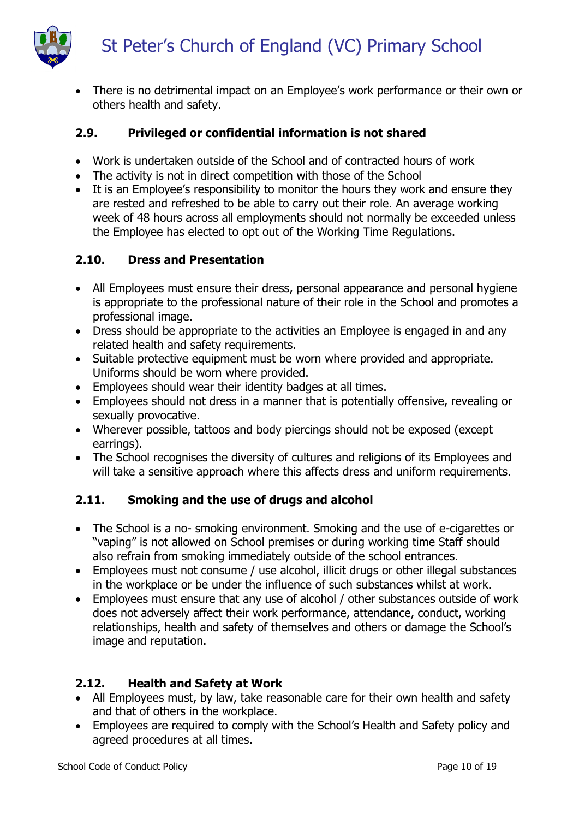

• There is no detrimental impact on an Employee's work performance or their own or others health and safety.

# <span id="page-9-0"></span>**2.9. Privileged or confidential information is not shared**

- Work is undertaken outside of the School and of contracted hours of work
- The activity is not in direct competition with those of the School
- It is an Employee's responsibility to monitor the hours they work and ensure they are rested and refreshed to be able to carry out their role. An average working week of 48 hours across all employments should not normally be exceeded unless the Employee has elected to opt out of the Working Time Regulations.

# <span id="page-9-1"></span>**2.10. Dress and Presentation**

- All Employees must ensure their dress, personal appearance and personal hygiene is appropriate to the professional nature of their role in the School and promotes a professional image.
- Dress should be appropriate to the activities an Employee is engaged in and any related health and safety requirements.
- Suitable protective equipment must be worn where provided and appropriate. Uniforms should be worn where provided.
- Employees should wear their identity badges at all times.
- Employees should not dress in a manner that is potentially offensive, revealing or sexually provocative.
- Wherever possible, tattoos and body piercings should not be exposed (except earrings).
- The School recognises the diversity of cultures and religions of its Employees and will take a sensitive approach where this affects dress and uniform requirements.

# <span id="page-9-2"></span>**2.11. Smoking and the use of drugs and alcohol**

- The School is a no- smoking environment. Smoking and the use of e-cigarettes or "vaping" is not allowed on School premises or during working time Staff should also refrain from smoking immediately outside of the school entrances.
- Employees must not consume / use alcohol, illicit drugs or other illegal substances in the workplace or be under the influence of such substances whilst at work.
- Employees must ensure that any use of alcohol / other substances outside of work does not adversely affect their work performance, attendance, conduct, working relationships, health and safety of themselves and others or damage the School's image and reputation.

# <span id="page-9-3"></span>**2.12. Health and Safety at Work**

- All Employees must, by law, take reasonable care for their own health and safety and that of others in the workplace.
- Employees are required to comply with the School's Health and Safety policy and agreed procedures at all times.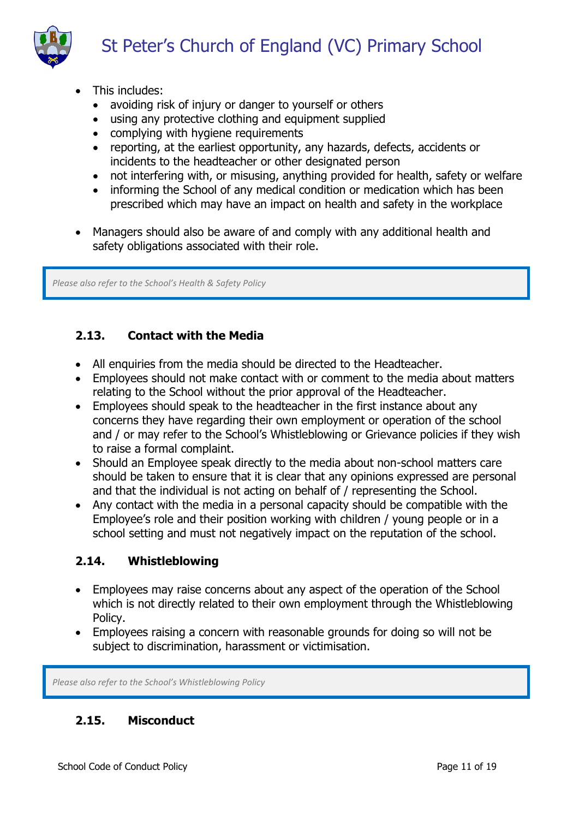

- This includes:
	- avoiding risk of injury or danger to yourself or others
	- using any protective clothing and equipment supplied
	- complying with hygiene requirements
	- reporting, at the earliest opportunity, any hazards, defects, accidents or incidents to the headteacher or other designated person
	- not interfering with, or misusing, anything provided for health, safety or welfare
	- informing the School of any medical condition or medication which has been prescribed which may have an impact on health and safety in the workplace
- Managers should also be aware of and comply with any additional health and safety obligations associated with their role.

*Please also refer to the School's Health & Safety Policy*

# <span id="page-10-0"></span>**2.13. Contact with the Media**

- All enquiries from the media should be directed to the Headteacher.
- Employees should not make contact with or comment to the media about matters relating to the School without the prior approval of the Headteacher.
- Employees should speak to the headteacher in the first instance about any concerns they have regarding their own employment or operation of the school and / or may refer to the School's Whistleblowing or Grievance policies if they wish to raise a formal complaint.
- Should an Employee speak directly to the media about non-school matters care should be taken to ensure that it is clear that any opinions expressed are personal and that the individual is not acting on behalf of / representing the School.
- Any contact with the media in a personal capacity should be compatible with the Employee's role and their position working with children / young people or in a school setting and must not negatively impact on the reputation of the school.

# <span id="page-10-1"></span>**2.14. Whistleblowing**

- Employees may raise concerns about any aspect of the operation of the School which is not directly related to their own employment through the Whistleblowing Policy.
- Employees raising a concern with reasonable grounds for doing so will not be subject to discrimination, harassment or victimisation.

*Please also refer to the School's Whistleblowing Policy*

# <span id="page-10-2"></span>**2.15. Misconduct**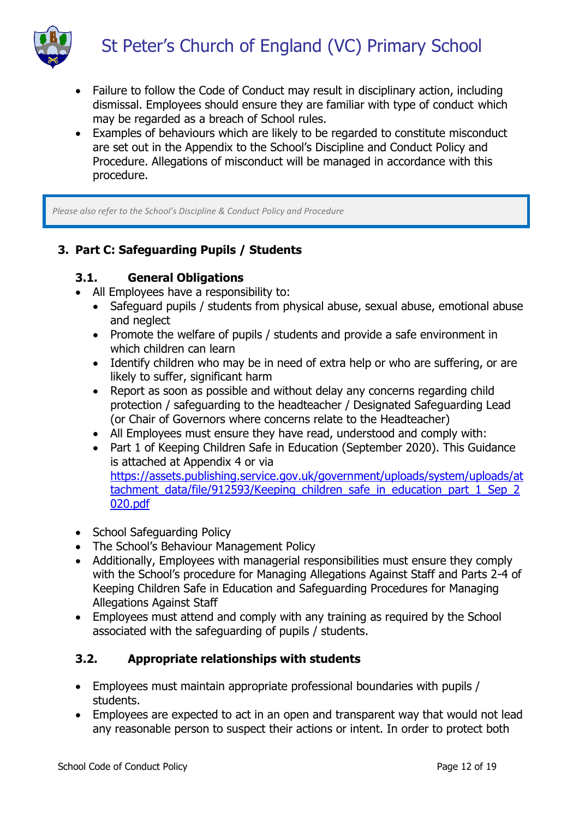

- Failure to follow the Code of Conduct may result in disciplinary action, including dismissal. Employees should ensure they are familiar with type of conduct which may be regarded as a breach of School rules.
- Examples of behaviours which are likely to be regarded to constitute misconduct are set out in the Appendix to the School's Discipline and Conduct Policy and Procedure. Allegations of misconduct will be managed in accordance with this procedure.

*Please also refer to the School's Discipline & Conduct Policy and Procedure*

# <span id="page-11-0"></span>**3. Part C: Safeguarding Pupils / Students**

## <span id="page-11-1"></span>**3.1. General Obligations**

- All Employees have a responsibility to:
	- Safeguard pupils / students from physical abuse, sexual abuse, emotional abuse and neglect
	- Promote the welfare of pupils / students and provide a safe environment in which children can learn
	- Identify children who may be in need of extra help or who are suffering, or are likely to suffer, significant harm
	- Report as soon as possible and without delay any concerns regarding child protection / safeguarding to the headteacher / Designated Safeguarding Lead (or Chair of Governors where concerns relate to the Headteacher)
	- All Employees must ensure they have read, understood and comply with:
	- Part 1 of Keeping Children Safe in Education (September 2020). This Guidance is attached at Appendix 4 or via [https://assets.publishing.service.gov.uk/government/uploads/system/uploads/at](https://assets.publishing.service.gov.uk/government/uploads/system/uploads/attachment_data/file/912593/Keeping_children_safe_in_education_part_1_Sep_2020.pdf) tachment data/file/912593/Keeping children safe in education part 1 Sep 2 [020.pdf](https://assets.publishing.service.gov.uk/government/uploads/system/uploads/attachment_data/file/912593/Keeping_children_safe_in_education_part_1_Sep_2020.pdf)
- School Safeguarding Policy
- The School's Behaviour Management Policy
- Additionally, Employees with managerial responsibilities must ensure they comply with the School's procedure for Managing Allegations Against Staff and Parts 2-4 of Keeping Children Safe in Education and Safeguarding Procedures for Managing Allegations Against Staff
- Employees must attend and comply with any training as required by the School associated with the safeguarding of pupils / students.

# <span id="page-11-2"></span>**3.2. Appropriate relationships with students**

- Employees must maintain appropriate professional boundaries with pupils / students.
- Employees are expected to act in an open and transparent way that would not lead any reasonable person to suspect their actions or intent. In order to protect both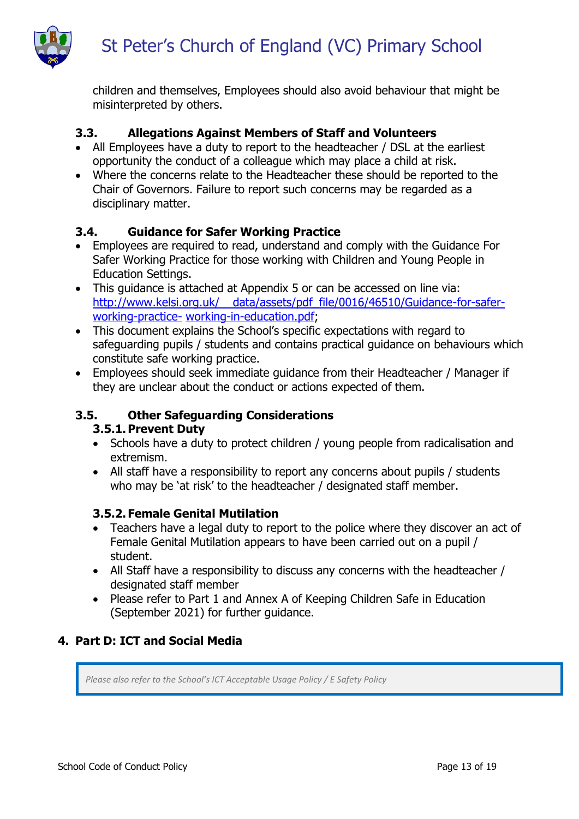

children and themselves, Employees should also avoid behaviour that might be misinterpreted by others.

## <span id="page-12-0"></span>**3.3. Allegations Against Members of Staff and Volunteers**

- All Employees have a duty to report to the headteacher / DSL at the earliest opportunity the conduct of a colleague which may place a child at risk.
- Where the concerns relate to the Headteacher these should be reported to the Chair of Governors. Failure to report such concerns may be regarded as a disciplinary matter.

#### <span id="page-12-1"></span>**3.4. Guidance for Safer Working Practice**

- Employees are required to read, understand and comply with the Guidance For Safer Working Practice for those working with Children and Young People in Education Settings.
- This guidance is attached at Appendix 5 or can be accessed on line via: http://www.kelsi.org.uk/ data/assets/pdf file/0016/46510/Guidance-for-safer[working-practice-](http://www.kelsi.org.uk/__data/assets/pdf_file/0016/46510/Guidance-for-safer-working-practice-working-in-education.pdf) [working-in-education.pdf;](http://www.kelsi.org.uk/__data/assets/pdf_file/0016/46510/Guidance-for-safer-working-practice-working-in-education.pdf)
- This document explains the School's specific expectations with regard to safeguarding pupils / students and contains practical guidance on behaviours which constitute safe working practice.
- Employees should seek immediate guidance from their Headteacher / Manager if they are unclear about the conduct or actions expected of them.

#### <span id="page-12-3"></span><span id="page-12-2"></span>**3.5. Other Safeguarding Considerations**

#### **3.5.1.Prevent Duty**

- Schools have a duty to protect children / young people from radicalisation and extremism.
- All staff have a responsibility to report any concerns about pupils / students who may be 'at risk' to the headteacher / designated staff member.

#### <span id="page-12-4"></span>**3.5.2. Female Genital Mutilation**

- Teachers have a legal duty to report to the police where they discover an act of Female Genital Mutilation appears to have been carried out on a pupil / student.
- All Staff have a responsibility to discuss any concerns with the headteacher / designated staff member
- Please refer to Part 1 and Annex A of Keeping Children Safe in Education (September 2021) for further guidance.

#### <span id="page-12-5"></span>**4. Part D: ICT and Social Media**

*Please also refer to the School's ICT Acceptable Usage Policy / E Safety Policy*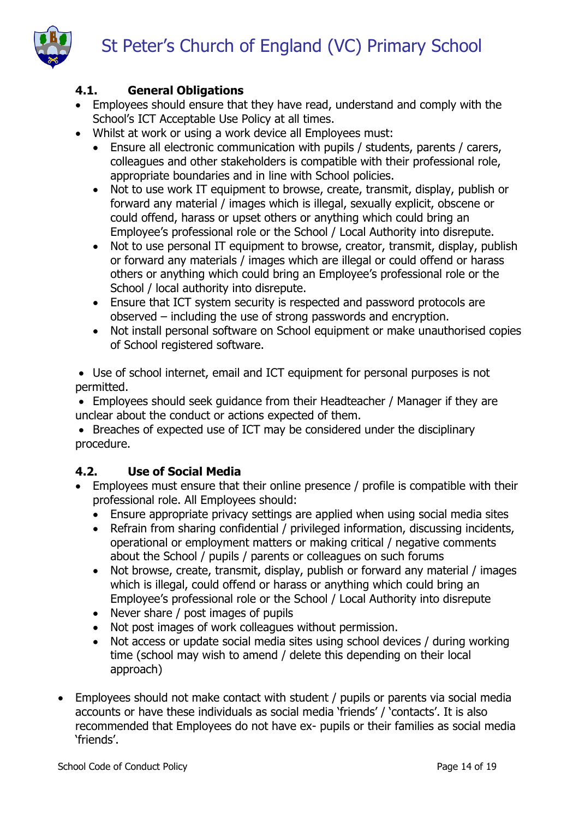

## <span id="page-13-0"></span>**4.1. General Obligations**

- Employees should ensure that they have read, understand and comply with the School's ICT Acceptable Use Policy at all times.
- Whilst at work or using a work device all Employees must:
	- Ensure all electronic communication with pupils / students, parents / carers, colleagues and other stakeholders is compatible with their professional role, appropriate boundaries and in line with School policies.
	- Not to use work IT equipment to browse, create, transmit, display, publish or forward any material / images which is illegal, sexually explicit, obscene or could offend, harass or upset others or anything which could bring an Employee's professional role or the School / Local Authority into disrepute.
	- Not to use personal IT equipment to browse, creator, transmit, display, publish or forward any materials / images which are illegal or could offend or harass others or anything which could bring an Employee's professional role or the School / local authority into disrepute.
	- Ensure that ICT system security is respected and password protocols are observed – including the use of strong passwords and encryption.
	- Not install personal software on School equipment or make unauthorised copies of School registered software.

 Use of school internet, email and ICT equipment for personal purposes is not permitted.

 Employees should seek guidance from their Headteacher / Manager if they are unclear about the conduct or actions expected of them.

 Breaches of expected use of ICT may be considered under the disciplinary procedure.

# <span id="page-13-1"></span>**4.2. Use of Social Media**

- Employees must ensure that their online presence / profile is compatible with their professional role. All Employees should:
	- Ensure appropriate privacy settings are applied when using social media sites
	- Refrain from sharing confidential / privileged information, discussing incidents, operational or employment matters or making critical / negative comments about the School / pupils / parents or colleagues on such forums
	- Not browse, create, transmit, display, publish or forward any material / images which is illegal, could offend or harass or anything which could bring an Employee's professional role or the School / Local Authority into disrepute
	- Never share / post images of pupils
	- Not post images of work colleagues without permission.
	- Not access or update social media sites using school devices / during working time (school may wish to amend / delete this depending on their local approach)
- Employees should not make contact with student / pupils or parents via social media accounts or have these individuals as social media 'friends' / 'contacts'. It is also recommended that Employees do not have ex- pupils or their families as social media 'friends'.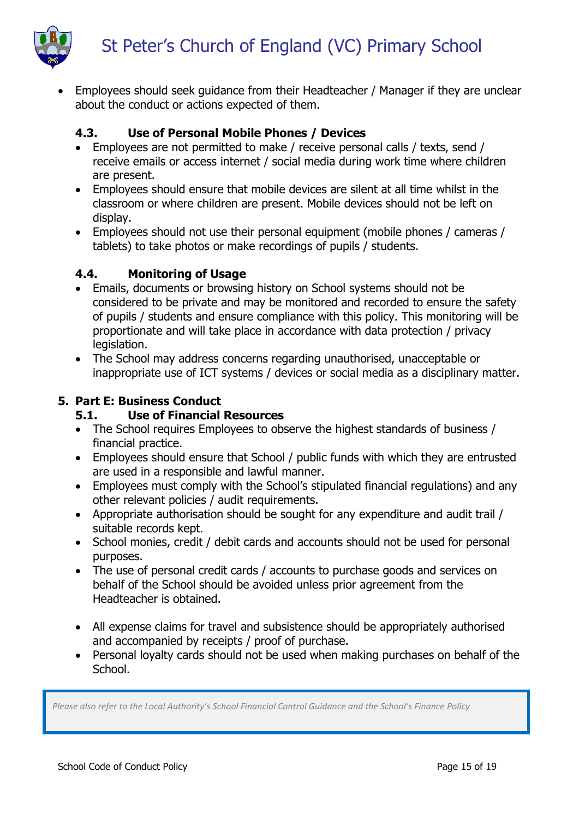

 Employees should seek guidance from their Headteacher / Manager if they are unclear about the conduct or actions expected of them.

## <span id="page-14-0"></span>**4.3. Use of Personal Mobile Phones / Devices**

- Employees are not permitted to make / receive personal calls / texts, send / receive emails or access internet / social media during work time where children are present.
- Employees should ensure that mobile devices are silent at all time whilst in the classroom or where children are present. Mobile devices should not be left on display.
- Employees should not use their personal equipment (mobile phones / cameras / tablets) to take photos or make recordings of pupils / students.

## <span id="page-14-1"></span>**4.4. Monitoring of Usage**

- Emails, documents or browsing history on School systems should not be considered to be private and may be monitored and recorded to ensure the safety of pupils / students and ensure compliance with this policy. This monitoring will be proportionate and will take place in accordance with data protection / privacy legislation.
- The School may address concerns regarding unauthorised, unacceptable or inappropriate use of ICT systems / devices or social media as a disciplinary matter.

## <span id="page-14-3"></span><span id="page-14-2"></span>**5. Part E: Business Conduct**

## **5.1. Use of Financial Resources**

- The School requires Employees to observe the highest standards of business / financial practice.
- Employees should ensure that School / public funds with which they are entrusted are used in a responsible and lawful manner.
- Employees must comply with the School's stipulated financial regulations) and any other relevant policies / audit requirements.
- Appropriate authorisation should be sought for any expenditure and audit trail / suitable records kept.
- School monies, credit / debit cards and accounts should not be used for personal purposes.
- The use of personal credit cards / accounts to purchase goods and services on behalf of the School should be avoided unless prior agreement from the Headteacher is obtained.
- All expense claims for travel and subsistence should be appropriately authorised and accompanied by receipts / proof of purchase.
- Personal loyalty cards should not be used when making purchases on behalf of the School.

*Please also refer to the Local Authority's School Financial Control Guidance and the School's Finance Policy*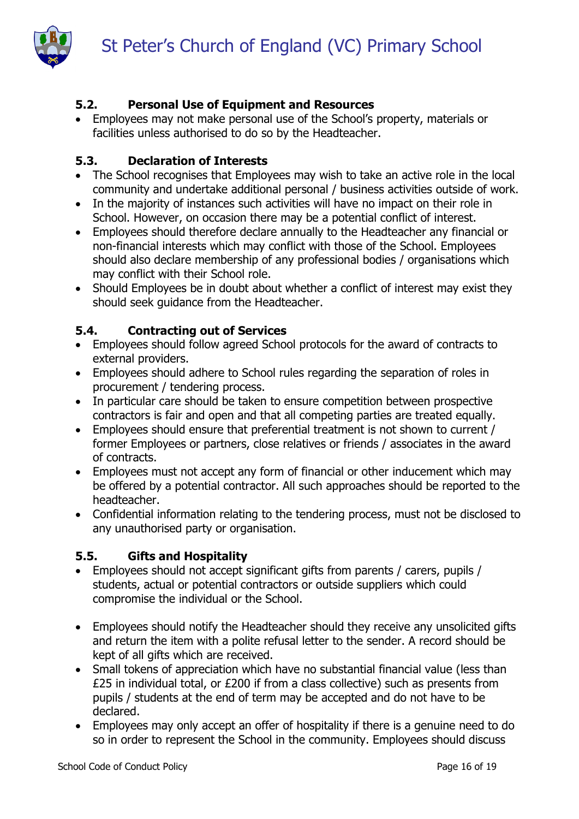

# <span id="page-15-0"></span>**5.2. Personal Use of Equipment and Resources**

 Employees may not make personal use of the School's property, materials or facilities unless authorised to do so by the Headteacher.

#### <span id="page-15-1"></span>**5.3. Declaration of Interests**

- The School recognises that Employees may wish to take an active role in the local community and undertake additional personal / business activities outside of work.
- In the majority of instances such activities will have no impact on their role in School. However, on occasion there may be a potential conflict of interest.
- Employees should therefore declare annually to the Headteacher any financial or non-financial interests which may conflict with those of the School. Employees should also declare membership of any professional bodies / organisations which may conflict with their School role.
- Should Employees be in doubt about whether a conflict of interest may exist they should seek guidance from the Headteacher.

#### <span id="page-15-2"></span>**5.4. Contracting out of Services**

- Employees should follow agreed School protocols for the award of contracts to external providers.
- Employees should adhere to School rules regarding the separation of roles in procurement / tendering process.
- In particular care should be taken to ensure competition between prospective contractors is fair and open and that all competing parties are treated equally.
- Employees should ensure that preferential treatment is not shown to current / former Employees or partners, close relatives or friends / associates in the award of contracts.
- Employees must not accept any form of financial or other inducement which may be offered by a potential contractor. All such approaches should be reported to the headteacher.
- Confidential information relating to the tendering process, must not be disclosed to any unauthorised party or organisation.

#### <span id="page-15-3"></span>**5.5. Gifts and Hospitality**

- Employees should not accept significant gifts from parents / carers, pupils / students, actual or potential contractors or outside suppliers which could compromise the individual or the School.
- Employees should notify the Headteacher should they receive any unsolicited gifts and return the item with a polite refusal letter to the sender. A record should be kept of all gifts which are received.
- Small tokens of appreciation which have no substantial financial value (less than £25 in individual total, or £200 if from a class collective) such as presents from pupils / students at the end of term may be accepted and do not have to be declared.
- Employees may only accept an offer of hospitality if there is a genuine need to do so in order to represent the School in the community. Employees should discuss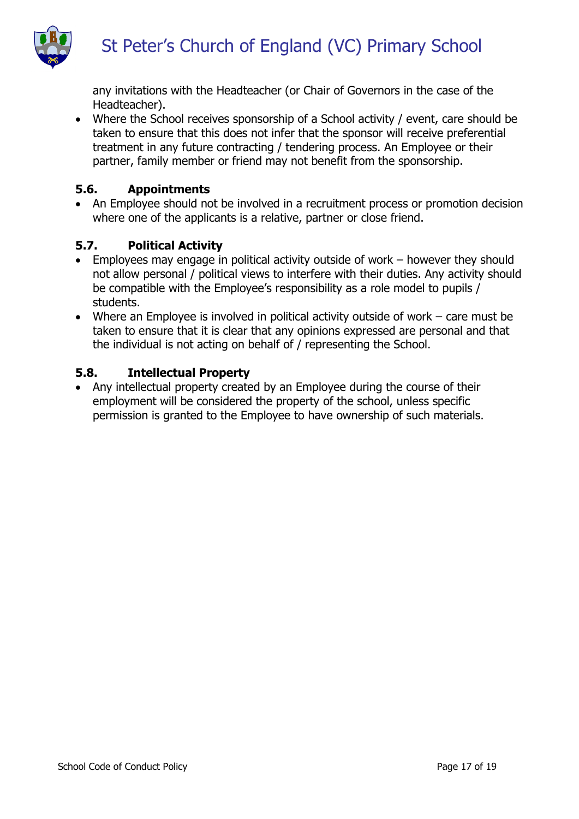

any invitations with the Headteacher (or Chair of Governors in the case of the Headteacher).

 Where the School receives sponsorship of a School activity / event, care should be taken to ensure that this does not infer that the sponsor will receive preferential treatment in any future contracting / tendering process. An Employee or their partner, family member or friend may not benefit from the sponsorship.

#### <span id="page-16-0"></span>**5.6. Appointments**

• An Employee should not be involved in a recruitment process or promotion decision where one of the applicants is a relative, partner or close friend.

## <span id="page-16-1"></span>**5.7. Political Activity**

- Employees may engage in political activity outside of work however they should not allow personal / political views to interfere with their duties. Any activity should be compatible with the Employee's responsibility as a role model to pupils / students.
- Where an Employee is involved in political activity outside of work care must be taken to ensure that it is clear that any opinions expressed are personal and that the individual is not acting on behalf of / representing the School.

#### <span id="page-16-2"></span>**5.8. Intellectual Property**

 Any intellectual property created by an Employee during the course of their employment will be considered the property of the school, unless specific permission is granted to the Employee to have ownership of such materials.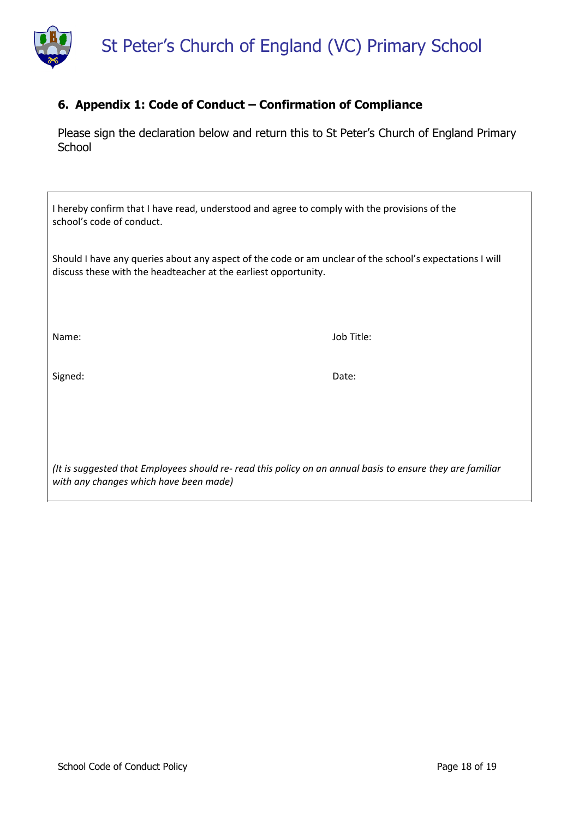

## <span id="page-17-0"></span>**6. Appendix 1: Code of Conduct – Confirmation of Compliance**

Please sign the declaration below and return this to St Peter's Church of England Primary **School** 

| I hereby confirm that I have read, understood and agree to comply with the provisions of the<br>school's code of conduct.                                                   |            |  |  |  |
|-----------------------------------------------------------------------------------------------------------------------------------------------------------------------------|------------|--|--|--|
| Should I have any queries about any aspect of the code or am unclear of the school's expectations I will<br>discuss these with the headteacher at the earliest opportunity. |            |  |  |  |
| Name:                                                                                                                                                                       | Job Title: |  |  |  |
| Signed:                                                                                                                                                                     | Date:      |  |  |  |
|                                                                                                                                                                             |            |  |  |  |
| (It is suggested that Employees should re- read this policy on an annual basis to ensure they are familiar                                                                  |            |  |  |  |

*with any changes which have been made)*